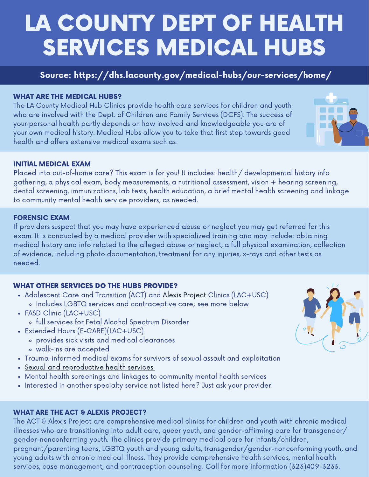# LA COUNTY DEPT OF HEALTH SERVICES MEDICAL HUBS

## Source: https://dhs.lacounty.gov/medical-hubs/our-services/home/

#### WHAT ARE THE MEDICAL HUBS?

The LA County Medical Hub Clinics provide health care services for children and youth who are involved with the Dept. of Children and Family Services (DCFS). The success of your personal health partly depends on how involved and knowledgeable you are of your own medical history. Medical Hubs allow you to take that first step towards good health and offers extensive medical exams such as:

## INITIAL MEDICAL EXAM

Placed into out-of-home care? This exam is for you! It includes: health/ developmental history info gathering, a physical exam, body measurements, a nutritional assessment, vision + hearing screening, dental screening, immunizations, lab tests, health education, a brief mental health screening and linkage to community mental health service providers, as needed.

#### FORENSIC EXAM

If providers suspect that you may have experienced abuse or neglect you may get referred for this exam. It is conducted by a medical provider with specialized training and may include: obtaining medical history and info related to the alleged abuse or neglect, a full physical examination, collection of evidence, including photo documentation, treatment for any injuries, x-rays and other tests as needed.

## WHAT OTHER SERVICES DO THE HUBS PROVIDE?

- Adolescent Care and Transition (ACT) and Alexis [Project](https://violenceinterventionprogram.org/about-vip/our-programs/lgbtq/) Clinics (LAC+USC) Includes LGBTQ services and contraceptive care; see more below
- FASD Clinic (LAC+USC)
	- full services for Fetal Alcohol Spectrum Disorder
- Extended Hours (E-CARE)(LAC+USC)
	- provides sick visits and medical clearances
	- walk-ins are accepted
- Trauma-informed medical exams for survivors of sexual assault and exploitation
- Sexual and [reproductive](https://www.courts.ca.gov/documents/BTB24-2J-8.pdf) health [s](https://www.courts.ca.gov/documents/BTB24-2J-8.pdf)ervices
- Mental health screenings and linkages to community mental health services
- Interested in another specialty service not listed here? Just ask your provider!

## WHAT ARE THE ACT & ALEXIS PROJECT?

The ACT & Alexis Project are comprehensive medical clinics for children and youth with chronic medical illnesses who are transitioning into adult care, queer youth, and gender-affirming care for transgender/ gender-nonconforming youth. The clinics provide primary medical care for infants/children, pregnant/parenting teens, LGBTQ youth and young adults, transgender/gender-nonconforming youth, and young adults with chronic medical illness. They provide comprehensive health services, mental health services, case management, and contraception counseling. Call for more information (323)409-3233.